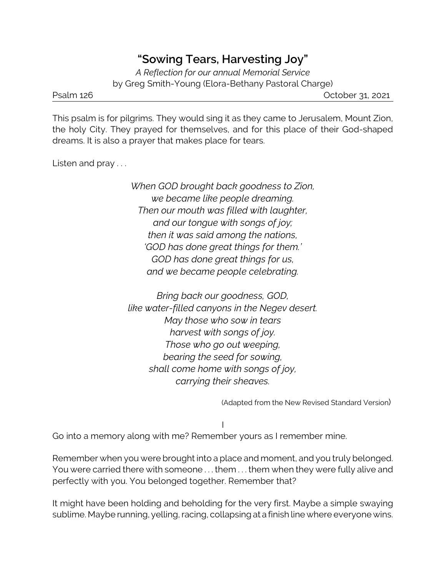## **"Sowing Tears, Harvesting Joy"**

*A Reflection for our annual Memorial Service* by Greg Smith-Young (Elora-Bethany Pastoral Charge)

Psalm 126 **Decision 126** October 31, 2021

This psalm is for pilgrims. They would sing it as they came to Jerusalem, Mount Zion, the holy City. They prayed for themselves, and for this place of their God-shaped dreams. It is also a prayer that makes place for tears.

Listen and pray . . .

*When GOD brought back goodness to Zion, we became like people dreaming. Then our mouth was filled with laughter, and our tongue with songs of joy; then it was said among the nations, 'GOD has done great things for them.' GOD has done great things for us, and we became people celebrating.*

*Bring back our goodness, GOD, like water-filled canyons in the Negev desert. May those who sow in tears harvest with songs of joy. Those who go out weeping, bearing the seed for sowing, shall come home with songs of joy, carrying their sheaves.*

(Adapted from the New Revised Standard Version)

I

Go into a memory along with me? Remember yours as I remember mine.

Remember when you were brought into a place and moment, and you truly belonged. You were carried there with someone . . . them . . . them when they were fully alive and perfectly with you. You belonged together. Remember that?

It might have been holding and beholding for the very first. Maybe a simple swaying sublime. Maybe running, yelling, racing, collapsing at a finish line where everyone wins.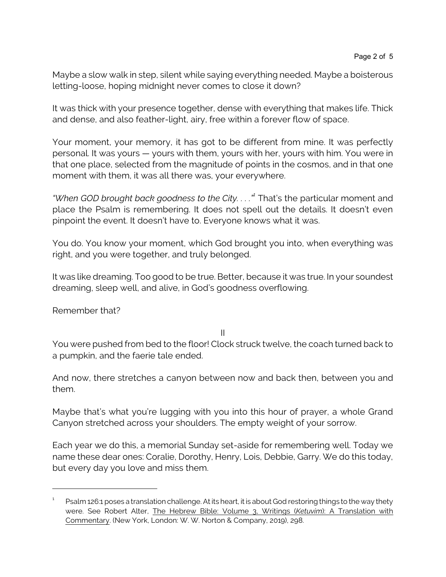Maybe a slow walk in step, silent while saying everything needed. Maybe a boisterous letting-loose, hoping midnight never comes to close it down?

It was thick with your presence together, dense with everything that makes life. Thick and dense, and also feather-light, airy, free within a forever flow of space.

Your moment, your memory, it has got to be different from mine. It was perfectly personal. It was yours — yours with them, yours with her, yours with him. You were in that one place, selected from the magnitude of points in the cosmos, and in that one moment with them, it was all there was, your everywhere.

*"When GOD brought back goodness to the City. . . ."<sup>1</sup>* That's the particular moment and place the Psalm is remembering. It does not spell out the details. It doesn't even pinpoint the event. It doesn't have to. Everyone knows what it was.

You do. You know your moment, which God brought you into, when everything was right, and you were together, and truly belonged.

It was like dreaming. Too good to be true. Better, because it was true. In your soundest dreaming, sleep well, and alive, in God's goodness overflowing.

Remember that?

II

You were pushed from bed to the floor! Clock struck twelve, the coach turned back to a pumpkin, and the faerie tale ended.

And now, there stretches a canyon between now and back then, between you and them.

Maybe that's what you're lugging with you into this hour of prayer, a whole Grand Canyon stretched across your shoulders. The empty weight of your sorrow.

Each year we do this, a memorial Sunday set-aside for remembering well. Today we name these dear ones: Coralie, Dorothy, Henry, Lois, Debbie, Garry. We do this today, but every day you love and miss them.

<sup>1</sup> Psalm 126:1 poses a translation challenge. At its heart, it is about God restoring things to the way thety were. See Robert Alter, The Hebrew Bible: Volume 3, Writings (*Ketuvim*): A Translation with Commentary. (New York, London: W. W. Norton & Company, 2019), 298.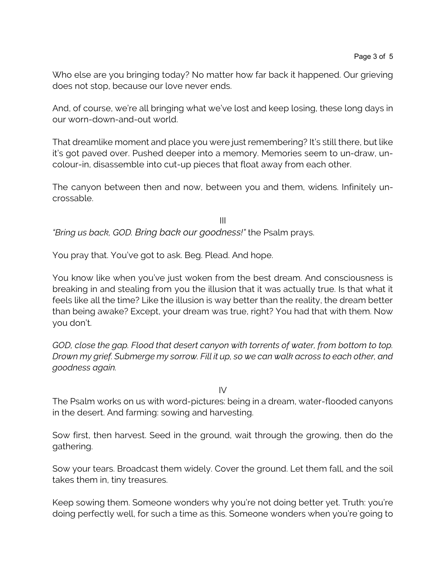Who else are you bringing today? No matter how far back it happened. Our grieving does not stop, because our love never ends.

And, of course, we're all bringing what we've lost and keep losing, these long days in our worn-down-and-out world.

That dreamlike moment and place you were just remembering? It's still there, but like it's got paved over. Pushed deeper into a memory. Memories seem to un-draw, uncolour-in, disassemble into cut-up pieces that float away from each other.

The canyon between then and now, between you and them, widens. Infinitely uncrossable.

III *"Bring us back, GOD. Bring back our goodness!"* the Psalm prays.

You pray that. You've got to ask. Beg. Plead. And hope.

You know like when you've just woken from the best dream. And consciousness is breaking in and stealing from you the illusion that it was actually true. Is that what it feels like all the time? Like the illusion is way better than the reality, the dream better than being awake? Except, your dream was true, right? You had that with them. Now you don't.

*GOD, close the gap. Flood that desert canyon with torrents of water, from bottom to top. Drown my grief. Submerge my sorrow. Fill it up, so we can walk across to each other, and goodness again.* 

IV

The Psalm works on us with word-pictures: being in a dream, water-flooded canyons in the desert. And farming: sowing and harvesting.

Sow first, then harvest. Seed in the ground, wait through the growing, then do the gathering.

Sow your tears. Broadcast them widely. Cover the ground. Let them fall, and the soil takes them in, tiny treasures.

Keep sowing them. Someone wonders why you're not doing better yet. Truth: you're doing perfectly well, for such a time as this. Someone wonders when you're going to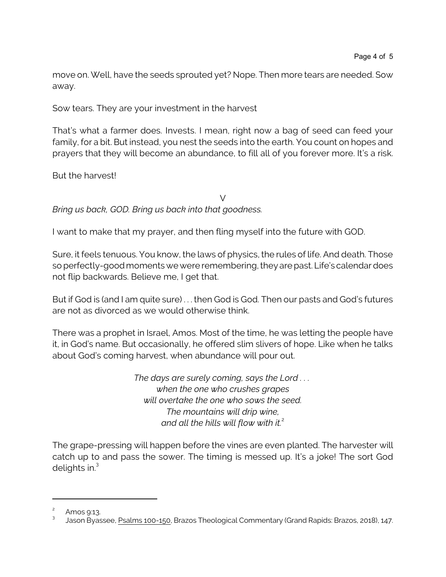move on. Well, have the seeds sprouted yet? Nope. Then more tears are needed. Sow away.

Sow tears. They are your investment in the harvest

That's what a farmer does. Invests. I mean, right now a bag of seed can feed your family, for a bit. But instead, you nest the seeds into the earth. You count on hopes and prayers that they will become an abundance, to fill all of you forever more. It's a risk.

But the harvest!

 $\vee$ *Bring us back, GOD. Bring us back into that goodness.*

I want to make that my prayer, and then fling myself into the future with GOD.

Sure, it feels tenuous. You know, the laws of physics, the rules of life. And death. Those so perfectly-good moments we were remembering, they are past. Life's calendar does not flip backwards. Believe me, I get that.

But if God is (and I am quite sure) . . . then God is God. Then our pasts and God's futures are not as divorced as we would otherwise think.

There was a prophet in Israel, Amos. Most of the time, he was letting the people have it, in God's name. But occasionally, he offered slim slivers of hope. Like when he talks about God's coming harvest, when abundance will pour out.

> *The days are surely coming, says the Lord . . . when the one who crushes grapes will overtake the one who sows the seed. The mountains will drip wine, and all the hills will flow with it.*<sup>2</sup>

The grape-pressing will happen before the vines are even planted. The harvester will catch up to and pass the sower. The timing is messed up. It's a joke! The sort God delights in.<sup>3</sup>

<sup>2</sup> Amos 9:13.

<sup>3</sup> Jason Byassee, Psalms 100-150, Brazos Theological Commentary (Grand Rapids: Brazos, 2018), 147.